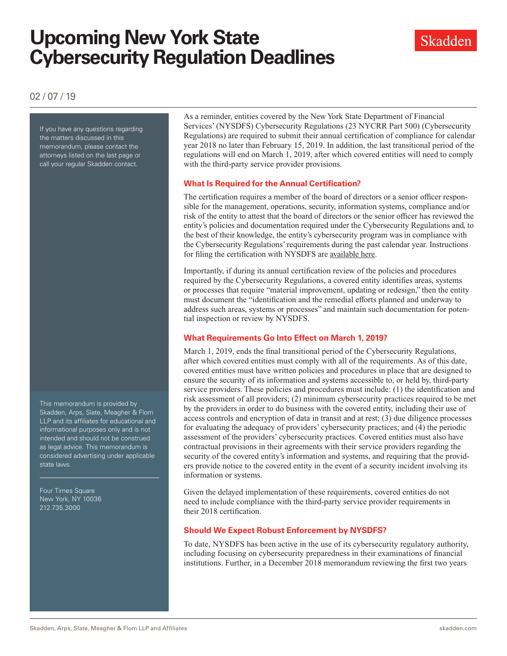# **Upcoming New York State Cybersecurity Regulation Deadlines**



02 / 07 / 19

If you have any questions regarding the matters discussed in this memorandum, please contact the attorneys listed on the last page or call your regular Skadden contact.

This memorandum is provided by Skadden, Arps, Slate, Meagher & Flom LLP and its affiliates for educational and informational purposes only and is not intended and should not be construed as legal advice. This memorandum is considered advertising under applicable state laws.

Four Times Square New York, NY 10036 212.735.3000

As a reminder, entities covered by the New York State Department of Financial Services' (NYSDFS) Cybersecurity Regulations (23 NYCRR Part 500) (Cybersecurity Regulations) are required to submit their annual certification of compliance for calendar year 2018 no later than February 15, 2019. In addition, the last transitional period of the regulations will end on March 1, 2019, after which covered entities will need to comply with the third-party service provider provisions.

### **What Is Required for the Annual Certification?**

The certification requires a member of the board of directors or a senior officer responsible for the management, operations, security, information systems, compliance and/or risk of the entity to attest that the board of directors or the senior officer has reviewed the entity's policies and documentation required under the Cybersecurity Regulations and, to the best of their knowledge, the entity's cybersecurity program was in compliance with the Cybersecurity Regulations' requirements during the past calendar year. Instructions for filing the certification with NYSDFS are [available here.](http://www.skadden.com/-/media/files/publications/2019/02/upcoming-new-york-state-cybersecurity/pdf_cyber_compliance_filings_instructions.pdf)

Importantly, if during its annual certification review of the policies and procedures required by the Cybersecurity Regulations, a covered entity identifies areas, systems or processes that require "material improvement, updating or redesign," then the entity must document the "identification and the remedial efforts planned and underway to address such areas, systems or processes" and maintain such documentation for potential inspection or review by NYSDFS.

## **What Requirements Go Into Effect on March 1, 2019?**

March 1, 2019, ends the final transitional period of the Cybersecurity Regulations, after which covered entities must comply with all of the requirements. As of this date, covered entities must have written policies and procedures in place that are designed to ensure the security of its information and systems accessible to, or held by, third-party service providers. These policies and procedures must include: (1) the identification and risk assessment of all providers; (2) minimum cybersecurity practices required to be met by the providers in order to do business with the covered entity, including their use of access controls and encryption of data in transit and at rest; (3) due diligence processes for evaluating the adequacy of providers' cybersecurity practices; and (4) the periodic assessment of the providers' cybersecurity practices. Covered entities must also have contractual provisions in their agreements with their service providers regarding the security of the covered entity's information and systems, and requiring that the providers provide notice to the covered entity in the event of a security incident involving its information or systems.

Given the delayed implementation of these requirements, covered entities do not need to include compliance with the third-party service provider requirements in their 2018 certification.

## **Should We Expect Robust Enforcement by NYSDFS?**

To date, NYSDFS has been active in the use of its cybersecurity regulatory authority, including focusing on cybersecurity preparedness in their examinations of financial institutions. Further, in a December 2018 memorandum reviewing the first two years